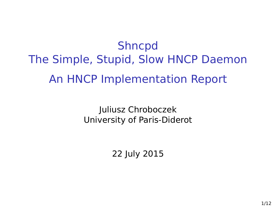Shncpd The Simple, Stupid, Slow HNCP Daemon An HNCP Implementation Report

> Juliusz Chroboczek University of Paris-Diderot

> > 22 July 2015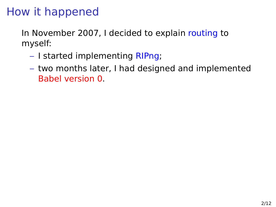# How it happened

In November 2007, I decided to explain routing to myself:

- I started implementing RIPng;
- two months later, I had designed and implemented Babel version 0.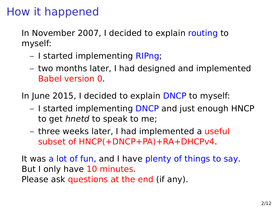# How it happened

In November 2007, I decided to explain routing to myself:

- I started implementing RIPng;
- two months later, I had designed and implemented Babel version 0.

In June 2015, I decided to explain DNCP to myself:

- I started implementing DNCP and just enough HNCP to get hnetd to speak to me;
- three weeks later, I had implemented a useful subset of HNCP(+DNCP+PA)+RA+DHCPv4.

It was a lot of fun, and I have plenty of things to say. But I only have 10 minutes. Please ask questions at the end (if any).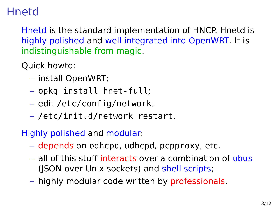## **Hnetd**

Hnetd is the standard implementation of HNCP. Hnetd is highly polished and well integrated into OpenWRT. It is indistinguishable from magic.

Quick howto:

- install OpenWRT;
- opkg install hnet-full;
- edit /etc/config/network;
- /etc/init.d/network restart.

Highly polished and modular:

- depends on odhcpd, udhcpd, pcpproxy, etc.
- all of this stuff interacts over a combination of ubus (JSON over Unix sockets) and shell scripts;
- highly modular code written by professionals.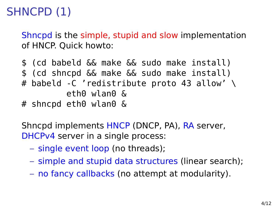# SHNCPD (1)

Shncpd is the simple, stupid and slow implementation of HNCP. Quick howto:

```
$ (cd babeld && make && sudo make install)
$ (cd shncpd && make && sudo make install)
# babeld -C 'redistribute proto 43 allow' \
         eth0 wlan0 &
# shncpd eth0 wlan0 &
```
Shncpd implements HNCP (DNCP, PA), RA server, DHCPv4 server in a single process:

- single event loop (no threads);
- simple and stupid data structures (linear search);
- no fancy callbacks (no attempt at modularity).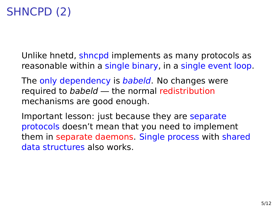## SHNCPD (2)

Unlike hnetd, shncpd implements as many protocols as reasonable within a single binary, in a single event loop.

The only dependency is babeld. No changes were required to babeld — the normal redistribution mechanisms are good enough.

Important lesson: just because they are separate protocols doesn't mean that you need to implement them in separate daemons. Single process with shared data structures also works.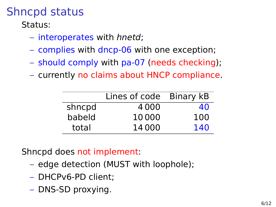# Shncpd status

Status:

- interoperates with hnetd;
- complies with dncp-06 with one exception;
- should comply with pa-07 (needs checking);
- currently no claims about HNCP compliance.

|        | Lines of code Binary kB |     |
|--------|-------------------------|-----|
| shncpd | 4000                    | 40  |
| babeld | 10000                   | 100 |
| total  | 14000                   | 140 |

Shncpd does not implement:

- edge detection (MUST with loophole);
- DHCPv6-PD client;
- DNS-SD proxying.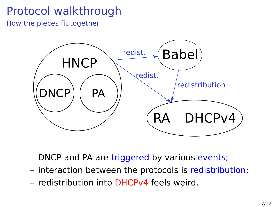# Protocol walkthrough

How the pieces fit together



- DNCP and PA are triggered by various events;
- interaction between the protocols is redistribution;
- redistribution into DHCPv4 feels weird.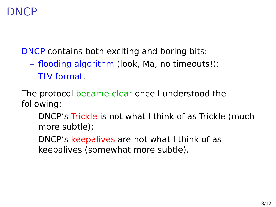#### DNCP

DNCP contains both exciting and boring bits:

- flooding algorithm (look, Ma, no timeouts!);
- TLV format.

The protocol became clear once I understood the following:

- DNCP's Trickle is not what I think of as Trickle (much more subtle);
- DNCP's keepalives are not what I think of as keepalives (somewhat more subtle).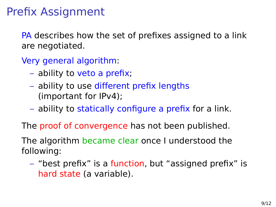## Prefix Assignment

PA describes how the set of prefixes assigned to a link are negotiated.

Very general algorithm:

- ability to veto a prefix;
- ability to use different prefix lengths (important for IPv4);
- ability to statically configure a prefix for a link.

The proof of convergence has not been published.

The algorithm became clear once I understood the following:

– "best prefix" is a function, but "assigned prefix" is hard state (a variable).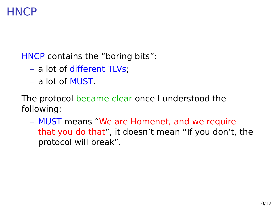#### **HNCP**

HNCP contains the "boring bits":

- a lot of different TLVs;
- a lot of MUST.

The protocol became clear once I understood the following:

– MUST means "We are Homenet, and we require that you do that", it doesn't mean "If you don't, the protocol will break".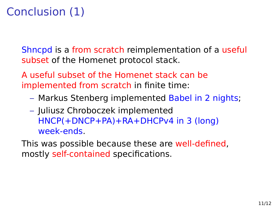# Conclusion (1)

Shncpd is a from scratch reimplementation of a useful subset of the Homenet protocol stack.

A useful subset of the Homenet stack can be implemented from scratch in finite time:

- Markus Stenberg implemented Babel in 2 nights;
- Juliusz Chroboczek implemented HNCP(+DNCP+PA)+RA+DHCPv4 in 3 (long) week-ends.

This was possible because these are well-defined, mostly self-contained specifications.